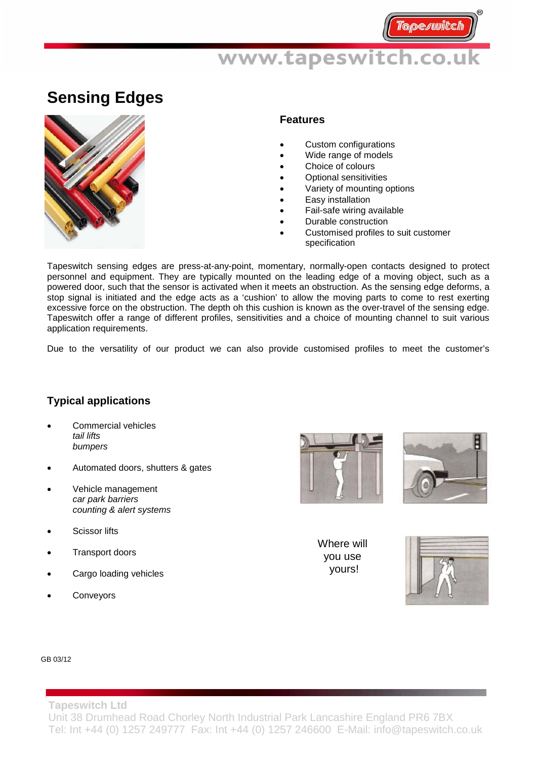# www.tapeswitch.co.uk

### **Sensing Edges**



#### **Features**

- Custom configurations
- Wide range of models
- Choice of colours
- Optional sensitivities
- Variety of mounting options
- Easy installation
- Fail-safe wiring available
- Durable construction
- Customised profiles to suit customer specification

Tapeswitch sensing edges are press-at-any-point, momentary, normally-open contacts designed to protect personnel and equipment. They are typically mounted on the leading edge of a moving object, such as a powered door, such that the sensor is activated when it meets an obstruction. As the sensing edge deforms, a stop signal is initiated and the edge acts as a 'cushion' to allow the moving parts to come to rest exerting excessive force on the obstruction. The depth oh this cushion is known as the over-travel of the sensing edge. Tapeswitch offer a range of different profiles, sensitivities and a choice of mounting channel to suit various application requirements.

Due to the versatility of our product we can also provide customised profiles to meet the customer's

### **Typical applications**

- Commercial vehicles *tail lifts bumpers*
- Automated doors, shutters & gates
- Vehicle management *car park barriers counting & alert systems*
- **Scissor lifts**
- Transport doors
- Cargo loading vehicles
- **Conveyors**





Where will you use yours!



#### GB 03/12

**Tapeswitch Ltd**  Unit 38 Drumhead Road Chorley North Industrial Park Lancashire England PR6 7BX Tel: Int +44 (0) 1257 249777 Fax: Int +44 (0) 1257 246600 E-Mail: info@tapeswitch.co.uk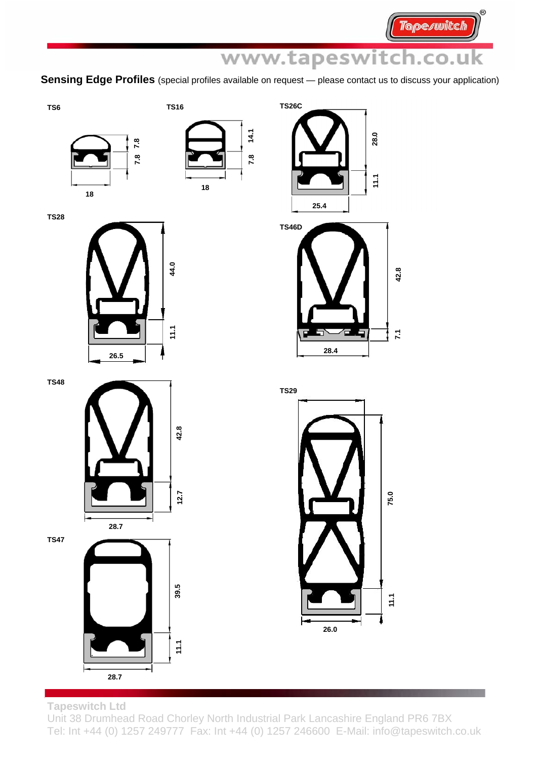**Tapeswitch** 

# www.tapeswitch.co.uk

**Sensing Edge Profiles** (special profiles available on request — please contact us to discuss your application)







**TS28** 

**TS48** 

**TS47** 



**TS46D**   $42.8$ **7.1 42.8**   $\overline{z}$ **28.4** 



39.5 **39.5 11.1**   $11.1$ **28.7** 



**Tapeswitch Ltd** 

Unit 38 Drumhead Road Chorley North Industrial Park Lancashire England PR6 7BX Tel: Int +44 (0) 1257 249777 Fax: Int +44 (0) 1257 246600 E-Mail: info@tapeswitch.co.uk